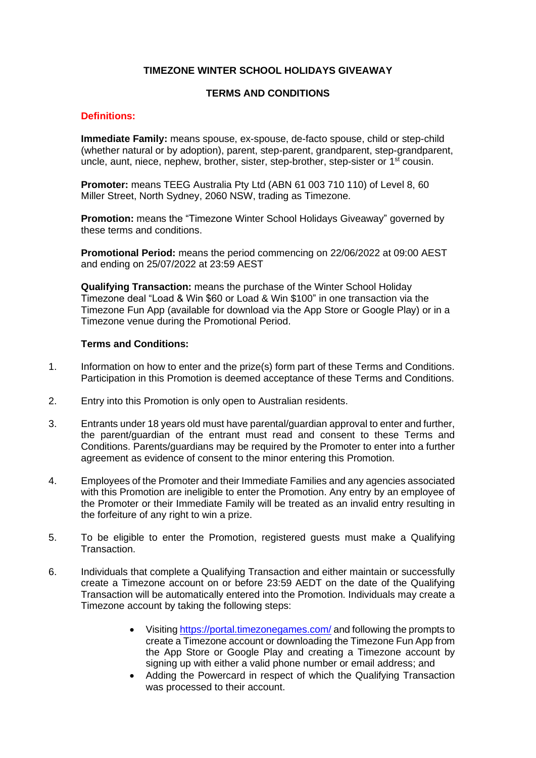# **TIMEZONE WINTER SCHOOL HOLIDAYS GIVEAWAY**

# **TERMS AND CONDITIONS**

### **Definitions:**

**Immediate Family:** means spouse, ex-spouse, de-facto spouse, child or step-child (whether natural or by adoption), parent, step-parent, grandparent, step-grandparent, uncle, aunt, niece, nephew, brother, sister, step-brother, step-sister or  $1<sup>st</sup>$  cousin.

**Promoter:** means TEEG Australia Pty Ltd (ABN 61 003 710 110) of Level 8, 60 Miller Street, North Sydney, 2060 NSW, trading as Timezone.

**Promotion:** means the "Timezone Winter School Holidays Giveaway" governed by these terms and conditions.

**Promotional Period:** means the period commencing on 22/06/2022 at 09:00 AEST and ending on 25/07/2022 at 23:59 AEST

**Qualifying Transaction:** means the purchase of the Winter School Holiday Timezone deal "Load & Win \$60 or Load & Win \$100" in one transaction via the Timezone Fun App (available for download via the App Store or Google Play) or in a Timezone venue during the Promotional Period.

### **Terms and Conditions:**

- 1. Information on how to enter and the prize(s) form part of these Terms and Conditions. Participation in this Promotion is deemed acceptance of these Terms and Conditions.
- 2. Entry into this Promotion is only open to Australian residents.
- 3. Entrants under 18 years old must have parental/guardian approval to enter and further, the parent/guardian of the entrant must read and consent to these Terms and Conditions. Parents/guardians may be required by the Promoter to enter into a further agreement as evidence of consent to the minor entering this Promotion.
- 4. Employees of the Promoter and their Immediate Families and any agencies associated with this Promotion are ineligible to enter the Promotion. Any entry by an employee of the Promoter or their Immediate Family will be treated as an invalid entry resulting in the forfeiture of any right to win a prize.
- 5. To be eligible to enter the Promotion, registered guests must make a Qualifying Transaction.
- 6. Individuals that complete a Qualifying Transaction and either maintain or successfully create a Timezone account on or before 23:59 AEDT on the date of the Qualifying Transaction will be automatically entered into the Promotion. Individuals may create a Timezone account by taking the following steps:
	- Visiting <https://portal.timezonegames.com/> and following the prompts to create a Timezone account or downloading the Timezone Fun App from the App Store or Google Play and creating a Timezone account by signing up with either a valid phone number or email address; and
	- Adding the Powercard in respect of which the Qualifying Transaction was processed to their account.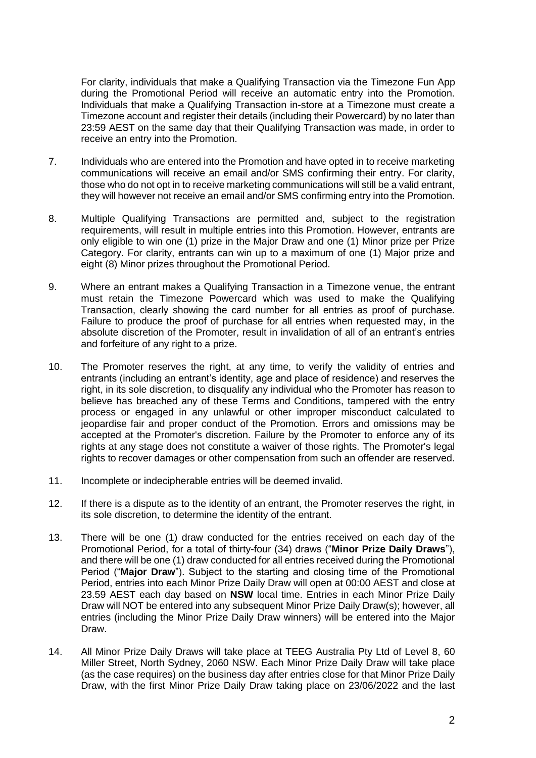For clarity, individuals that make a Qualifying Transaction via the Timezone Fun App during the Promotional Period will receive an automatic entry into the Promotion. Individuals that make a Qualifying Transaction in-store at a Timezone must create a Timezone account and register their details (including their Powercard) by no later than 23:59 AEST on the same day that their Qualifying Transaction was made, in order to receive an entry into the Promotion.

- 7. Individuals who are entered into the Promotion and have opted in to receive marketing communications will receive an email and/or SMS confirming their entry. For clarity, those who do not opt in to receive marketing communications will still be a valid entrant, they will however not receive an email and/or SMS confirming entry into the Promotion.
- 8. Multiple Qualifying Transactions are permitted and, subject to the registration requirements, will result in multiple entries into this Promotion. However, entrants are only eligible to win one (1) prize in the Major Draw and one (1) Minor prize per Prize Category. For clarity, entrants can win up to a maximum of one (1) Major prize and eight (8) Minor prizes throughout the Promotional Period.
- 9. Where an entrant makes a Qualifying Transaction in a Timezone venue, the entrant must retain the Timezone Powercard which was used to make the Qualifying Transaction, clearly showing the card number for all entries as proof of purchase. Failure to produce the proof of purchase for all entries when requested may, in the absolute discretion of the Promoter, result in invalidation of all of an entrant's entries and forfeiture of any right to a prize.
- 10. The Promoter reserves the right, at any time, to verify the validity of entries and entrants (including an entrant's identity, age and place of residence) and reserves the right, in its sole discretion, to disqualify any individual who the Promoter has reason to believe has breached any of these Terms and Conditions, tampered with the entry process or engaged in any unlawful or other improper misconduct calculated to jeopardise fair and proper conduct of the Promotion. Errors and omissions may be accepted at the Promoter's discretion. Failure by the Promoter to enforce any of its rights at any stage does not constitute a waiver of those rights. The Promoter's legal rights to recover damages or other compensation from such an offender are reserved.
- 11. Incomplete or indecipherable entries will be deemed invalid.
- 12. If there is a dispute as to the identity of an entrant, the Promoter reserves the right, in its sole discretion, to determine the identity of the entrant.
- 13. There will be one (1) draw conducted for the entries received on each day of the Promotional Period, for a total of thirty-four (34) draws ("**Minor Prize Daily Draws**"), and there will be one (1) draw conducted for all entries received during the Promotional Period ("**Major Draw**"). Subject to the starting and closing time of the Promotional Period, entries into each Minor Prize Daily Draw will open at 00:00 AEST and close at 23.59 AEST each day based on **NSW** local time. Entries in each Minor Prize Daily Draw will NOT be entered into any subsequent Minor Prize Daily Draw(s); however, all entries (including the Minor Prize Daily Draw winners) will be entered into the Major Draw.
- 14. All Minor Prize Daily Draws will take place at TEEG Australia Pty Ltd of Level 8, 60 Miller Street, North Sydney, 2060 NSW. Each Minor Prize Daily Draw will take place (as the case requires) on the business day after entries close for that Minor Prize Daily Draw, with the first Minor Prize Daily Draw taking place on 23/06/2022 and the last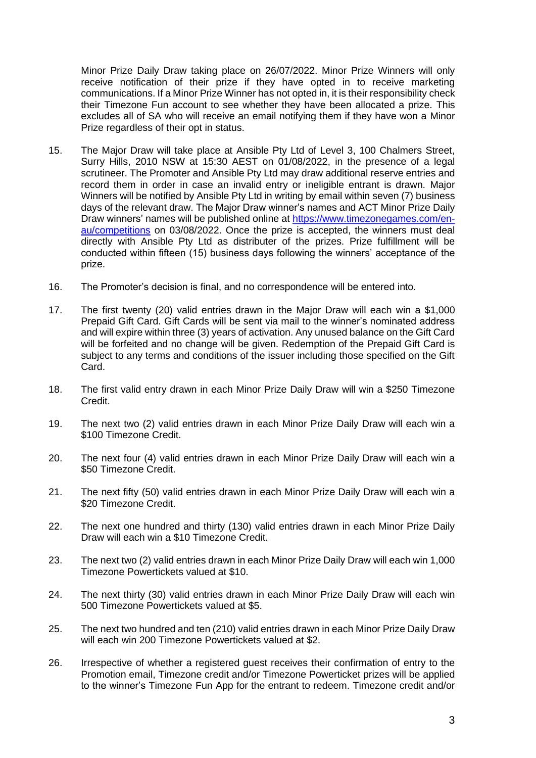Minor Prize Daily Draw taking place on 26/07/2022. Minor Prize Winners will only receive notification of their prize if they have opted in to receive marketing communications. If a Minor Prize Winner has not opted in, it is their responsibility check their Timezone Fun account to see whether they have been allocated a prize. This excludes all of SA who will receive an email notifying them if they have won a Minor Prize regardless of their opt in status.

- 15. The Major Draw will take place at Ansible Pty Ltd of Level 3, 100 Chalmers Street, Surry Hills, 2010 NSW at 15:30 AEST on 01/08/2022, in the presence of a legal scrutineer. The Promoter and Ansible Pty Ltd may draw additional reserve entries and record them in order in case an invalid entry or ineligible entrant is drawn. Major Winners will be notified by Ansible Pty Ltd in writing by email within seven (7) business days of the relevant draw. The Major Draw winner's names and ACT Minor Prize Daily Draw winners' names will be published online at [https://www.timezonegames.com/en](https://www.timezonegames.com/en-au/competitions)[au/competitions](https://www.timezonegames.com/en-au/competitions) on 03/08/2022. Once the prize is accepted, the winners must deal directly with Ansible Pty Ltd as distributer of the prizes. Prize fulfillment will be conducted within fifteen (15) business days following the winners' acceptance of the prize.
- 16. The Promoter's decision is final, and no correspondence will be entered into.
- 17. The first twenty (20) valid entries drawn in the Major Draw will each win a \$1,000 Prepaid Gift Card. Gift Cards will be sent via mail to the winner's nominated address and will expire within three (3) years of activation. Any unused balance on the Gift Card will be forfeited and no change will be given. Redemption of the Prepaid Gift Card is subject to any terms and conditions of the issuer including those specified on the Gift Card.
- 18. The first valid entry drawn in each Minor Prize Daily Draw will win a \$250 Timezone Credit.
- 19. The next two (2) valid entries drawn in each Minor Prize Daily Draw will each win a \$100 Timezone Credit.
- 20. The next four (4) valid entries drawn in each Minor Prize Daily Draw will each win a \$50 Timezone Credit.
- 21. The next fifty (50) valid entries drawn in each Minor Prize Daily Draw will each win a \$20 Timezone Credit.
- 22. The next one hundred and thirty (130) valid entries drawn in each Minor Prize Daily Draw will each win a \$10 Timezone Credit.
- 23. The next two (2) valid entries drawn in each Minor Prize Daily Draw will each win 1,000 Timezone Powertickets valued at \$10.
- 24. The next thirty (30) valid entries drawn in each Minor Prize Daily Draw will each win 500 Timezone Powertickets valued at \$5.
- 25. The next two hundred and ten (210) valid entries drawn in each Minor Prize Daily Draw will each win 200 Timezone Powertickets valued at \$2.
- 26. Irrespective of whether a registered guest receives their confirmation of entry to the Promotion email, Timezone credit and/or Timezone Powerticket prizes will be applied to the winner's Timezone Fun App for the entrant to redeem. Timezone credit and/or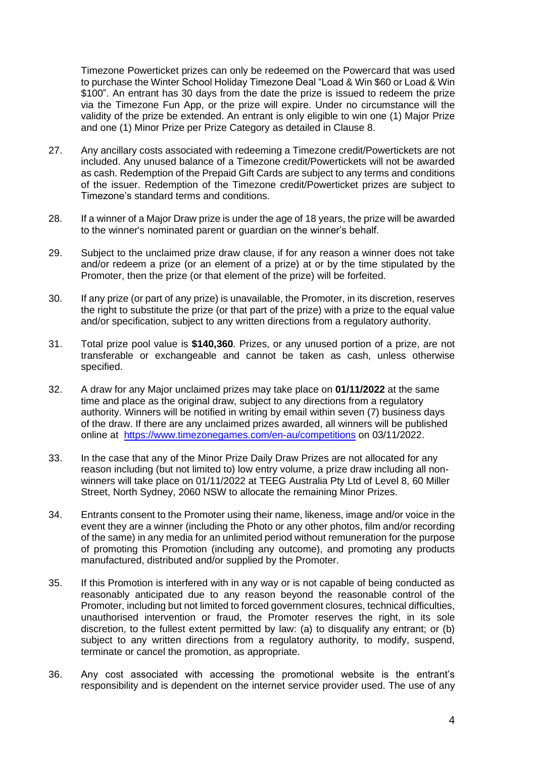Timezone Powerticket prizes can only be redeemed on the Powercard that was used to purchase the Winter School Holiday Timezone Deal "Load & Win \$60 or Load & Win \$100". An entrant has 30 days from the date the prize is issued to redeem the prize via the Timezone Fun App, or the prize will expire. Under no circumstance will the validity of the prize be extended. An entrant is only eligible to win one (1) Major Prize and one (1) Minor Prize per Prize Category as detailed in Clause 8.

- 27. Any ancillary costs associated with redeeming a Timezone credit/Powertickets are not included. Any unused balance of a Timezone credit/Powertickets will not be awarded as cash. Redemption of the Prepaid Gift Cards are subject to any terms and conditions of the issuer. Redemption of the Timezone credit/Powerticket prizes are subject to Timezone's standard terms and conditions.
- 28. If a winner of a Major Draw prize is under the age of 18 years, the prize will be awarded to the winner's nominated parent or guardian on the winner's behalf.
- 29. Subject to the unclaimed prize draw clause, if for any reason a winner does not take and/or redeem a prize (or an element of a prize) at or by the time stipulated by the Promoter, then the prize (or that element of the prize) will be forfeited.
- 30. If any prize (or part of any prize) is unavailable, the Promoter, in its discretion, reserves the right to substitute the prize (or that part of the prize) with a prize to the equal value and/or specification, subject to any written directions from a regulatory authority.
- 31. Total prize pool value is **\$140,360**. Prizes, or any unused portion of a prize, are not transferable or exchangeable and cannot be taken as cash, unless otherwise specified.
- 32. A draw for any Major unclaimed prizes may take place on **01/11/2022** at the same time and place as the original draw, subject to any directions from a regulatory authority. Winners will be notified in writing by email within seven (7) business days of the draw. If there are any unclaimed prizes awarded, all winners will be published online at <https://www.timezonegames.com/en-au/competitions> on 03/11/2022.
- 33. In the case that any of the Minor Prize Daily Draw Prizes are not allocated for any reason including (but not limited to) low entry volume, a prize draw including all nonwinners will take place on 01/11/2022 at TEEG Australia Pty Ltd of Level 8, 60 Miller Street, North Sydney, 2060 NSW to allocate the remaining Minor Prizes.
- 34. Entrants consent to the Promoter using their name, likeness, image and/or voice in the event they are a winner (including the Photo or any other photos, film and/or recording of the same) in any media for an unlimited period without remuneration for the purpose of promoting this Promotion (including any outcome), and promoting any products manufactured, distributed and/or supplied by the Promoter.
- 35. If this Promotion is interfered with in any way or is not capable of being conducted as reasonably anticipated due to any reason beyond the reasonable control of the Promoter, including but not limited to forced government closures, technical difficulties, unauthorised intervention or fraud, the Promoter reserves the right, in its sole discretion, to the fullest extent permitted by law: (a) to disqualify any entrant; or (b) subject to any written directions from a regulatory authority, to modify, suspend, terminate or cancel the promotion, as appropriate.
- 36. Any cost associated with accessing the promotional website is the entrant's responsibility and is dependent on the internet service provider used. The use of any